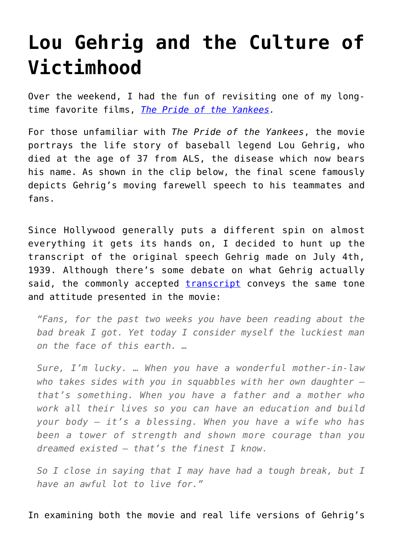## **[Lou Gehrig and the Culture of](https://intellectualtakeout.org/2016/05/lou-gehrig-and-the-culture-of-victimhood/) [Victimhood](https://intellectualtakeout.org/2016/05/lou-gehrig-and-the-culture-of-victimhood/)**

Over the weekend, I had the fun of revisiting one of my longtime favorite films, *[The Pride of the Yankees](http://www.amazon.com/gp/product/B00AATUZLU/ref=as_li_qf_sp_asin_il_tl?ie=UTF8&camp=1789&creative=9325&creativeASIN=B00AATUZLU&linkCode=as2&tag=intelltakeo0d-20&linkId=P3IGJ77DAYX3AWFS).*

For those unfamiliar with *The Pride of the Yankees*, the movie portrays the life story of baseball legend Lou Gehrig, who died at the age of 37 from ALS, the disease which now bears his name. As shown in the clip below, the final scene famously depicts Gehrig's moving farewell speech to his teammates and fans.

Since Hollywood generally puts a different spin on almost everything it gets its hands on, I decided to hunt up the transcript of the original speech Gehrig made on July 4th, 1939. Although there's some debate on what Gehrig actually said, the commonly accepted [transcript](http://espn.go.com/mlb/story/_/id/11158994/mlb-lou-gehrig-farewell-speech-gary-cooper-hollywood-version) conveys the same tone and attitude presented in the movie:

*"Fans, for the past two weeks you have been reading about the bad break I got. Yet today I consider myself the luckiest man on the face of this earth. …*

*Sure, I'm lucky. … When you have a wonderful mother-in-law who takes sides with you in squabbles with her own daughter that's something. When you have a father and a mother who work all their lives so you can have an education and build your body — it's a blessing. When you have a wife who has been a tower of strength and shown more courage than you dreamed existed — that's the finest I know.*

*So I close in saying that I may have had a tough break, but I have an awful lot to live for."*

In examining both the movie and real life versions of Gehrig's